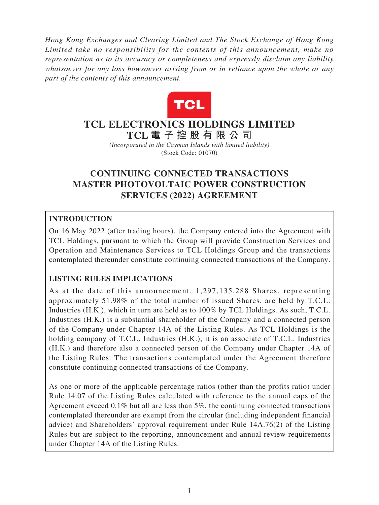*Hong Kong Exchanges and Clearing Limited and The Stock Exchange of Hong Kong Limited take no responsibility for the contents of this announcement, make no representation as to its accuracy or completeness and expressly disclaim any liability whatsoever for any loss howsoever arising from or in reliance upon the whole or any part of the contents of this announcement.*



# **TCL ELECTRONICS HOLDINGS LIMITED TCL 電子控股有限公 司**

*(Incorporated in the Cayman Islands with limited liability)* (Stock Code: 01070)

# **CONTINUING CONNECTED TRANSACTIONS MASTER PHOTOVOLTAIC POWER CONSTRUCTION SERVICES (2022) AGREEMENT**

## **INTRODUCTION**

On 16 May 2022 (after trading hours), the Company entered into the Agreement with TCL Holdings, pursuant to which the Group will provide Construction Services and Operation and Maintenance Services to TCL Holdings Group and the transactions contemplated thereunder constitute continuing connected transactions of the Company.

### **LISTING RULES IMPLICATIONS**

As at the date of this announcement, 1,297,135,288 Shares, representing approximately 51.98% of the total number of issued Shares, are held by T.C.L. Industries (H.K.), which in turn are held as to 100% by TCL Holdings. As such, T.C.L. Industries (H.K.) is a substantial shareholder of the Company and a connected person of the Company under Chapter 14A of the Listing Rules. As TCL Holdings is the holding company of T.C.L. Industries (H.K.), it is an associate of T.C.L. Industries (H.K.) and therefore also a connected person of the Company under Chapter 14A of the Listing Rules. The transactions contemplated under the Agreement therefore constitute continuing connected transactions of the Company.

As one or more of the applicable percentage ratios (other than the profits ratio) under Rule 14.07 of the Listing Rules calculated with reference to the annual caps of the Agreement exceed 0.1% but all are less than 5%, the continuing connected transactions contemplated thereunder are exempt from the circular (including independent financial advice) and Shareholders' approval requirement under Rule 14A.76(2) of the Listing Rules but are subject to the reporting, announcement and annual review requirements under Chapter 14A of the Listing Rules.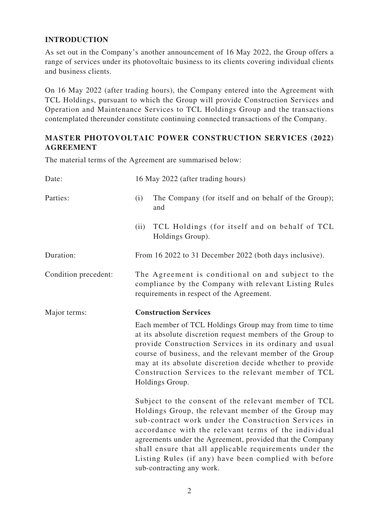## **INTRODUCTION**

As set out in the Company's another announcement of 16 May 2022, the Group offers a range of services under its photovoltaic business to its clients covering individual clients and business clients.

On 16 May 2022 (after trading hours), the Company entered into the Agreement with TCL Holdings, pursuant to which the Group will provide Construction Services and Operation and Maintenance Services to TCL Holdings Group and the transactions contemplated thereunder constitute continuing connected transactions of the Company.

### **MASTER PHOTOVOLTAIC POWER CONSTRUCTION SERVICES (2022) AGREEMENT**

The material terms of the Agreement are summarised below:

| Date:                | 16 May 2022 (after trading hours)                                                                                                                                                                                                                                                                                                                                                                                                          |
|----------------------|--------------------------------------------------------------------------------------------------------------------------------------------------------------------------------------------------------------------------------------------------------------------------------------------------------------------------------------------------------------------------------------------------------------------------------------------|
| Parties:             | The Company (for itself and on behalf of the Group);<br>(i)<br>and                                                                                                                                                                                                                                                                                                                                                                         |
|                      | TCL Holdings (for itself and on behalf of TCL<br>(ii)<br>Holdings Group).                                                                                                                                                                                                                                                                                                                                                                  |
| Duration:            | From 16 2022 to 31 December 2022 (both days inclusive).                                                                                                                                                                                                                                                                                                                                                                                    |
| Condition precedent: | The Agreement is conditional on and subject to the<br>compliance by the Company with relevant Listing Rules<br>requirements in respect of the Agreement.                                                                                                                                                                                                                                                                                   |
| Major terms:         | <b>Construction Services</b>                                                                                                                                                                                                                                                                                                                                                                                                               |
|                      | Each member of TCL Holdings Group may from time to time<br>at its absolute discretion request members of the Group to<br>provide Construction Services in its ordinary and usual<br>course of business, and the relevant member of the Group<br>may at its absolute discretion decide whether to provide<br>Construction Services to the relevant member of TCL<br>Holdings Group.                                                         |
|                      | Subject to the consent of the relevant member of TCL<br>Holdings Group, the relevant member of the Group may<br>sub-contract work under the Construction Services in<br>accordance with the relevant terms of the individual<br>agreements under the Agreement, provided that the Company<br>shall ensure that all applicable requirements under the<br>Listing Rules (if any) have been complied with before<br>sub-contracting any work. |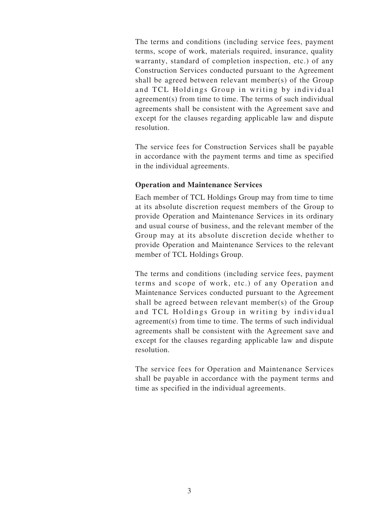The terms and conditions (including service fees, payment terms, scope of work, materials required, insurance, quality warranty, standard of completion inspection, etc.) of any Construction Services conducted pursuant to the Agreement shall be agreed between relevant member(s) of the Group and TCL Holdings Group in writing by individual agreement(s) from time to time. The terms of such individual agreements shall be consistent with the Agreement save and except for the clauses regarding applicable law and dispute resolution.

The service fees for Construction Services shall be payable in accordance with the payment terms and time as specified in the individual agreements.

#### **Operation and Maintenance Services**

Each member of TCL Holdings Group may from time to time at its absolute discretion request members of the Group to provide Operation and Maintenance Services in its ordinary and usual course of business, and the relevant member of the Group may at its absolute discretion decide whether to provide Operation and Maintenance Services to the relevant member of TCL Holdings Group.

The terms and conditions (including service fees, payment terms and scope of work, etc.) of any Operation and Maintenance Services conducted pursuant to the Agreement shall be agreed between relevant member(s) of the Group and TCL Holdings Group in writing by individual agreement(s) from time to time. The terms of such individual agreements shall be consistent with the Agreement save and except for the clauses regarding applicable law and dispute resolution.

The service fees for Operation and Maintenance Services shall be payable in accordance with the payment terms and time as specified in the individual agreements.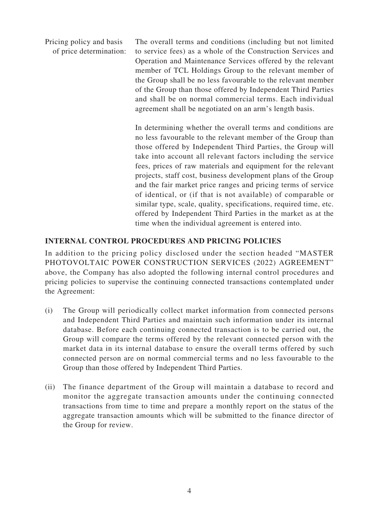Pricing policy and basis of price determination: The overall terms and conditions (including but not limited to service fees) as a whole of the Construction Services and Operation and Maintenance Services offered by the relevant member of TCL Holdings Group to the relevant member of the Group shall be no less favourable to the relevant member of the Group than those offered by Independent Third Parties and shall be on normal commercial terms. Each individual agreement shall be negotiated on an arm's length basis.

> In determining whether the overall terms and conditions are no less favourable to the relevant member of the Group than those offered by Independent Third Parties, the Group will take into account all relevant factors including the service fees, prices of raw materials and equipment for the relevant projects, staff cost, business development plans of the Group and the fair market price ranges and pricing terms of service of identical, or (if that is not available) of comparable or similar type, scale, quality, specifications, required time, etc. offered by Independent Third Parties in the market as at the time when the individual agreement is entered into.

#### **INTERNAL CONTROL PROCEDURES AND PRICING POLICIES**

In addition to the pricing policy disclosed under the section headed "MASTER PHOTOVOLTAIC POWER CONSTRUCTION SERVICES (2022) AGREEMENT" above, the Company has also adopted the following internal control procedures and pricing policies to supervise the continuing connected transactions contemplated under the Agreement:

- (i) The Group will periodically collect market information from connected persons and Independent Third Parties and maintain such information under its internal database. Before each continuing connected transaction is to be carried out, the Group will compare the terms offered by the relevant connected person with the market data in its internal database to ensure the overall terms offered by such connected person are on normal commercial terms and no less favourable to the Group than those offered by Independent Third Parties.
- (ii) The finance department of the Group will maintain a database to record and monitor the aggregate transaction amounts under the continuing connected transactions from time to time and prepare a monthly report on the status of the aggregate transaction amounts which will be submitted to the finance director of the Group for review.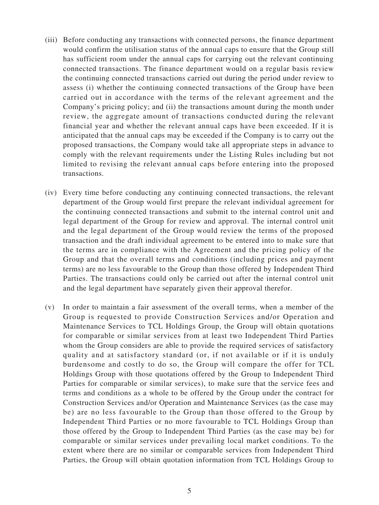- (iii) Before conducting any transactions with connected persons, the finance department would confirm the utilisation status of the annual caps to ensure that the Group still has sufficient room under the annual caps for carrying out the relevant continuing connected transactions. The finance department would on a regular basis review the continuing connected transactions carried out during the period under review to assess (i) whether the continuing connected transactions of the Group have been carried out in accordance with the terms of the relevant agreement and the Company's pricing policy; and (ii) the transactions amount during the month under review, the aggregate amount of transactions conducted during the relevant financial year and whether the relevant annual caps have been exceeded. If it is anticipated that the annual caps may be exceeded if the Company is to carry out the proposed transactions, the Company would take all appropriate steps in advance to comply with the relevant requirements under the Listing Rules including but not limited to revising the relevant annual caps before entering into the proposed transactions.
- (iv) Every time before conducting any continuing connected transactions, the relevant department of the Group would first prepare the relevant individual agreement for the continuing connected transactions and submit to the internal control unit and legal department of the Group for review and approval. The internal control unit and the legal department of the Group would review the terms of the proposed transaction and the draft individual agreement to be entered into to make sure that the terms are in compliance with the Agreement and the pricing policy of the Group and that the overall terms and conditions (including prices and payment terms) are no less favourable to the Group than those offered by Independent Third Parties. The transactions could only be carried out after the internal control unit and the legal department have separately given their approval therefor.
- (v) In order to maintain a fair assessment of the overall terms, when a member of the Group is requested to provide Construction Services and/or Operation and Maintenance Services to TCL Holdings Group, the Group will obtain quotations for comparable or similar services from at least two Independent Third Parties whom the Group considers are able to provide the required services of satisfactory quality and at satisfactory standard (or, if not available or if it is unduly burdensome and costly to do so, the Group will compare the offer for TCL Holdings Group with those quotations offered by the Group to Independent Third Parties for comparable or similar services), to make sure that the service fees and terms and conditions as a whole to be offered by the Group under the contract for Construction Services and/or Operation and Maintenance Services (as the case may be) are no less favourable to the Group than those offered to the Group by Independent Third Parties or no more favourable to TCL Holdings Group than those offered by the Group to Independent Third Parties (as the case may be) for comparable or similar services under prevailing local market conditions. To the extent where there are no similar or comparable services from Independent Third Parties, the Group will obtain quotation information from TCL Holdings Group to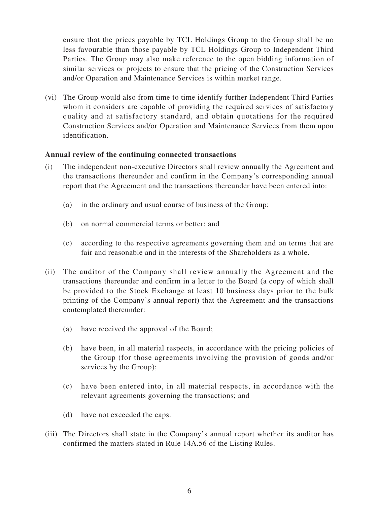ensure that the prices payable by TCL Holdings Group to the Group shall be no less favourable than those payable by TCL Holdings Group to Independent Third Parties. The Group may also make reference to the open bidding information of similar services or projects to ensure that the pricing of the Construction Services and/or Operation and Maintenance Services is within market range.

(vi) The Group would also from time to time identify further Independent Third Parties whom it considers are capable of providing the required services of satisfactory quality and at satisfactory standard, and obtain quotations for the required Construction Services and/or Operation and Maintenance Services from them upon identification.

#### **Annual review of the continuing connected transactions**

- (i) The independent non-executive Directors shall review annually the Agreement and the transactions thereunder and confirm in the Company's corresponding annual report that the Agreement and the transactions thereunder have been entered into:
	- (a) in the ordinary and usual course of business of the Group;
	- (b) on normal commercial terms or better; and
	- (c) according to the respective agreements governing them and on terms that are fair and reasonable and in the interests of the Shareholders as a whole.
- (ii) The auditor of the Company shall review annually the Agreement and the transactions thereunder and confirm in a letter to the Board (a copy of which shall be provided to the Stock Exchange at least 10 business days prior to the bulk printing of the Company's annual report) that the Agreement and the transactions contemplated thereunder:
	- (a) have received the approval of the Board;
	- (b) have been, in all material respects, in accordance with the pricing policies of the Group (for those agreements involving the provision of goods and/or services by the Group);
	- (c) have been entered into, in all material respects, in accordance with the relevant agreements governing the transactions; and
	- (d) have not exceeded the caps.
- (iii) The Directors shall state in the Company's annual report whether its auditor has confirmed the matters stated in Rule 14A.56 of the Listing Rules.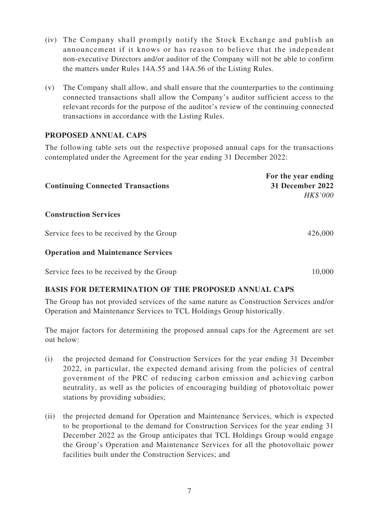- (iv) The Company shall promptly notify the Stock Exchange and publish an announcement if it knows or has reason to believe that the independent non-executive Directors and/or auditor of the Company will not be able to confirm the matters under Rules 14A.55 and 14A.56 of the Listing Rules.
- (v) The Company shall allow, and shall ensure that the counterparties to the continuing connected transactions shall allow the Company's auditor sufficient access to the relevant records for the purpose of the auditor's review of the continuing connected transactions in accordance with the Listing Rules.

### **PROPOSED ANNUAL CAPS**

The following table sets out the respective proposed annual caps for the transactions contemplated under the Agreement for the year ending 31 December 2022:

| <b>Continuing Connected Transactions</b>  | For the year ending<br>31 December 2022<br>HK\$'000 |
|-------------------------------------------|-----------------------------------------------------|
| <b>Construction Services</b>              |                                                     |
| Service fees to be received by the Group  | 426,000                                             |
| <b>Operation and Maintenance Services</b> |                                                     |
| Service fees to be received by the Group  | 10.000                                              |

#### **BASIS FOR DETERMINATION OF THE PROPOSED ANNUAL CAPS**

The Group has not provided services of the same nature as Construction Services and/or Operation and Maintenance Services to TCL Holdings Group historically.

The major factors for determining the proposed annual caps for the Agreement are set out below:

- (i) the projected demand for Construction Services for the year ending 31 December 2022, in particular, the expected demand arising from the policies of central government of the PRC of reducing carbon emission and achieving carbon neutrality, as well as the policies of encouraging building of photovoltaic power stations by providing subsidies;
- (ii) the projected demand for Operation and Maintenance Services, which is expected to be proportional to the demand for Construction Services for the year ending 31 December 2022 as the Group anticipates that TCL Holdings Group would engage the Group's Operation and Maintenance Services for all the photovoltaic power facilities built under the Construction Services; and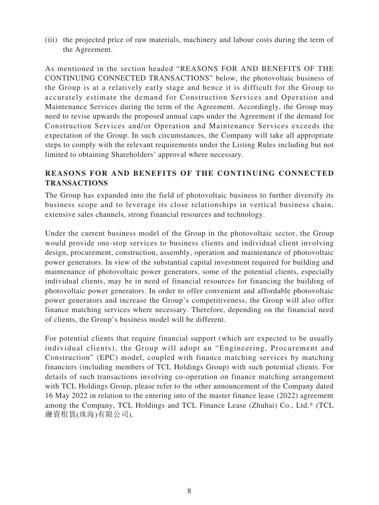(iii) the projected price of raw materials, machinery and labour costs during the term of the Agreement.

As mentioned in the section headed "REASONS FOR AND BENEFITS OF THE CONTINUING CONNECTED TRANSACTIONS" below, the photovoltaic business of the Group is at a relatively early stage and hence it is difficult for the Group to accurately estimate the demand for Construction Services and Operation and Maintenance Services during the term of the Agreement. Accordingly, the Group may need to revise upwards the proposed annual caps under the Agreement if the demand for Construction Services and/or Operation and Maintenance Services exceeds the expectation of the Group. In such circumstances, the Company will take all appropriate steps to comply with the relevant requirements under the Listing Rules including but not limited to obtaining Shareholders' approval where necessary.

### **REASONS FOR AND BENEFITS OF THE CONTINUING CONNECTED TRANSACTIONS**

The Group has expanded into the field of photovoltaic business to further diversify its business scope and to leverage its close relationships in vertical business chain, extensive sales channels, strong financial resources and technology.

Under the current business model of the Group in the photovoltaic sector, the Group would provide one-stop services to business clients and individual client involving design, procurement, construction, assembly, operation and maintenance of photovoltaic power generators. In view of the substantial capital investment required for building and maintenance of photovoltaic power generators, some of the potential clients, especially individual clients, may be in need of financial resources for financing the building of photovoltaic power generators. In order to offer convenient and affordable photovoltaic power generators and increase the Group's competitiveness, the Group will also offer finance matching services where necessary. Therefore, depending on the financial need of clients, the Group's business model will be different.

For potential clients that require financial support (which are expected to be usually individual clients), the Group will adopt an "Engineering, Procurement and Construction" (EPC) model, coupled with finance matching services by matching financiers (including members of TCL Holdings Group) with such potential clients. For details of such transactions involving co-operation on finance matching arrangement with TCL Holdings Group, please refer to the other announcement of the Company dated 16 May 2022 in relation to the entering into of the master finance lease (2022) agreement among the Company, TCL Holdings and TCL Finance Lease (Zhuhai) Co., Ltd.\* (TCL 融資租賃(珠海)有限公司).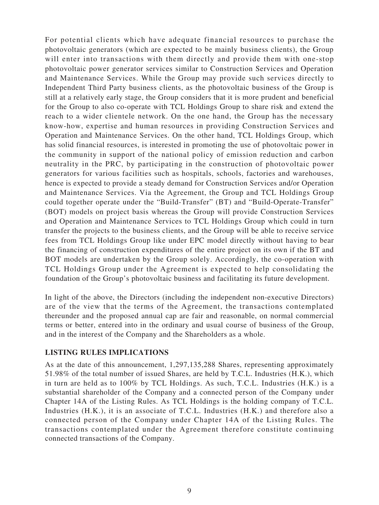For potential clients which have adequate financial resources to purchase the photovoltaic generators (which are expected to be mainly business clients), the Group will enter into transactions with them directly and provide them with one-stop photovoltaic power generator services similar to Construction Services and Operation and Maintenance Services. While the Group may provide such services directly to Independent Third Party business clients, as the photovoltaic business of the Group is still at a relatively early stage, the Group considers that it is more prudent and beneficial for the Group to also co-operate with TCL Holdings Group to share risk and extend the reach to a wider clientele network. On the one hand, the Group has the necessary know-how, expertise and human resources in providing Construction Services and Operation and Maintenance Services. On the other hand, TCL Holdings Group, which has solid financial resources, is interested in promoting the use of photovoltaic power in the community in support of the national policy of emission reduction and carbon neutrality in the PRC, by participating in the construction of photovoltaic power generators for various facilities such as hospitals, schools, factories and warehouses, hence is expected to provide a steady demand for Construction Services and/or Operation and Maintenance Services. Via the Agreement, the Group and TCL Holdings Group could together operate under the "Build-Transfer" (BT) and "Build-Operate-Transfer" (BOT) models on project basis whereas the Group will provide Construction Services and Operation and Maintenance Services to TCL Holdings Group which could in turn transfer the projects to the business clients, and the Group will be able to receive service fees from TCL Holdings Group like under EPC model directly without having to bear the financing of construction expenditures of the entire project on its own if the BT and BOT models are undertaken by the Group solely. Accordingly, the co-operation with TCL Holdings Group under the Agreement is expected to help consolidating the foundation of the Group's photovoltaic business and facilitating its future development.

In light of the above, the Directors (including the independent non-executive Directors) are of the view that the terms of the Agreement, the transactions contemplated thereunder and the proposed annual cap are fair and reasonable, on normal commercial terms or better, entered into in the ordinary and usual course of business of the Group, and in the interest of the Company and the Shareholders as a whole.

#### **LISTING RULES IMPLICATIONS**

As at the date of this announcement, 1,297,135,288 Shares, representing approximately 51.98% of the total number of issued Shares, are held by T.C.L. Industries (H.K.), which in turn are held as to 100% by TCL Holdings. As such, T.C.L. Industries (H.K.) is a substantial shareholder of the Company and a connected person of the Company under Chapter 14A of the Listing Rules. As TCL Holdings is the holding company of T.C.L. Industries (H.K.), it is an associate of T.C.L. Industries (H.K.) and therefore also a connected person of the Company under Chapter 14A of the Listing Rules. The transactions contemplated under the Agreement therefore constitute continuing connected transactions of the Company.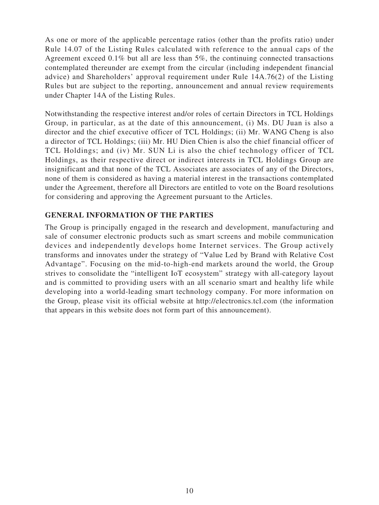As one or more of the applicable percentage ratios (other than the profits ratio) under Rule 14.07 of the Listing Rules calculated with reference to the annual caps of the Agreement exceed 0.1% but all are less than 5%, the continuing connected transactions contemplated thereunder are exempt from the circular (including independent financial advice) and Shareholders' approval requirement under Rule 14A.76(2) of the Listing Rules but are subject to the reporting, announcement and annual review requirements under Chapter 14A of the Listing Rules.

Notwithstanding the respective interest and/or roles of certain Directors in TCL Holdings Group, in particular, as at the date of this announcement, (i) Ms. DU Juan is also a director and the chief executive officer of TCL Holdings; (ii) Mr. WANG Cheng is also a director of TCL Holdings; (iii) Mr. HU Dien Chien is also the chief financial officer of TCL Holdings; and (iv) Mr. SUN Li is also the chief technology officer of TCL Holdings, as their respective direct or indirect interests in TCL Holdings Group are insignificant and that none of the TCL Associates are associates of any of the Directors, none of them is considered as having a material interest in the transactions contemplated under the Agreement, therefore all Directors are entitled to vote on the Board resolutions for considering and approving the Agreement pursuant to the Articles.

#### **GENERAL INFORMATION OF THE PARTIES**

The Group is principally engaged in the research and development, manufacturing and sale of consumer electronic products such as smart screens and mobile communication devices and independently develops home Internet services. The Group actively transforms and innovates under the strategy of "Value Led by Brand with Relative Cost Advantage". Focusing on the mid-to-high-end markets around the world, the Group strives to consolidate the "intelligent IoT ecosystem" strategy with all-category layout and is committed to providing users with an all scenario smart and healthy life while developing into a world-leading smart technology company. For more information on the Group, please visit its official website at http://electronics.tcl.com (the information that appears in this website does not form part of this announcement).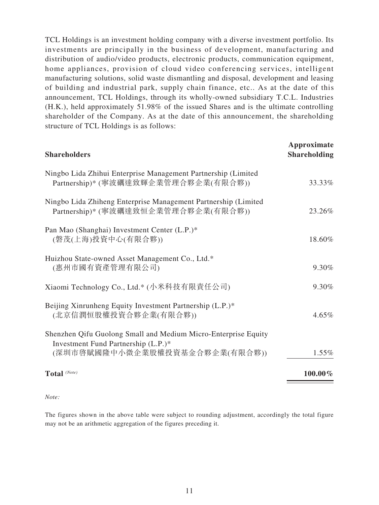TCL Holdings is an investment holding company with a diverse investment portfolio. Its investments are principally in the business of development, manufacturing and distribution of audio/video products, electronic products, communication equipment, home appliances, provision of cloud video conferencing services, intelligent manufacturing solutions, solid waste dismantling and disposal, development and leasing of building and industrial park, supply chain finance, etc.. As at the date of this announcement, TCL Holdings, through its wholly-owned subsidiary T.C.L. Industries (H.K.), held approximately 51.98% of the issued Shares and is the ultimate controlling shareholder of the Company. As at the date of this announcement, the shareholding structure of TCL Holdings is as follows:

| <b>Shareholders</b>                                                                                                                     | Approximate<br><b>Shareholding</b> |
|-----------------------------------------------------------------------------------------------------------------------------------------|------------------------------------|
| Ningbo Lida Zhihui Enterprise Management Partnership (Limited<br>Partnership)* (寧波礪達致輝企業管理合夥企業(有限合夥))                                   | 33.33%                             |
| Ningbo Lida Zhiheng Enterprise Management Partnership (Limited<br>Partnership)* (寧波礪達致恒企業管理合夥企業(有限合夥))                                  | 23.26%                             |
| Pan Mao (Shanghai) Investment Center (L.P.)*<br>(磐茂(上海)投資中心(有限合夥))                                                                      | 18.60%                             |
| Huizhou State-owned Asset Management Co., Ltd.*<br>(惠州市國有資產管理有限公司)                                                                      | 9.30%                              |
| Xiaomi Technology Co., Ltd.* (小米科技有限責任公司)                                                                                               | 9.30%                              |
| Beijing Xinrunheng Equity Investment Partnership (L.P.)*<br>(北京信潤恒股權投資合夥企業(有限合夥))                                                       | $4.65\%$                           |
| Shenzhen Qifu Guolong Small and Medium Micro-Enterprise Equity<br>Investment Fund Partnership (L.P.)*<br>(深圳市啓賦國隆中小微企業股權投資基金合夥企業(有限合夥)) | $1.55\%$                           |
| Total (Note)                                                                                                                            | 100.00%                            |

#### *Note:*

The figures shown in the above table were subject to rounding adjustment, accordingly the total figure may not be an arithmetic aggregation of the figures preceding it.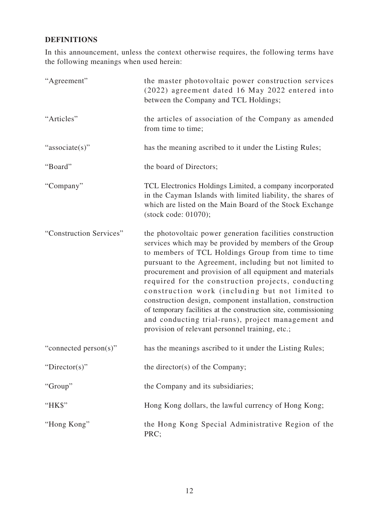### **DEFINITIONS**

In this announcement, unless the context otherwise requires, the following terms have the following meanings when used herein:

| "Agreement"             | the master photovoltaic power construction services<br>(2022) agreement dated 16 May 2022 entered into<br>between the Company and TCL Holdings;                                                                                                                                                                                                                                                                                                                                                                                                                                                                                                    |
|-------------------------|----------------------------------------------------------------------------------------------------------------------------------------------------------------------------------------------------------------------------------------------------------------------------------------------------------------------------------------------------------------------------------------------------------------------------------------------------------------------------------------------------------------------------------------------------------------------------------------------------------------------------------------------------|
| "Articles"              | the articles of association of the Company as amended<br>from time to time;                                                                                                                                                                                                                                                                                                                                                                                                                                                                                                                                                                        |
| "associate(s)"          | has the meaning ascribed to it under the Listing Rules;                                                                                                                                                                                                                                                                                                                                                                                                                                                                                                                                                                                            |
| "Board"                 | the board of Directors;                                                                                                                                                                                                                                                                                                                                                                                                                                                                                                                                                                                                                            |
| "Company"               | TCL Electronics Holdings Limited, a company incorporated<br>in the Cayman Islands with limited liability, the shares of<br>which are listed on the Main Board of the Stock Exchange<br>(stock code: 01070);                                                                                                                                                                                                                                                                                                                                                                                                                                        |
| "Construction Services" | the photovoltaic power generation facilities construction<br>services which may be provided by members of the Group<br>to members of TCL Holdings Group from time to time<br>pursuant to the Agreement, including but not limited to<br>procurement and provision of all equipment and materials<br>required for the construction projects, conducting<br>construction work (including but not limited to<br>construction design, component installation, construction<br>of temporary facilities at the construction site, commissioning<br>and conducting trial-runs), project management and<br>provision of relevant personnel training, etc.; |
| "connected person(s)"   | has the meanings ascribed to it under the Listing Rules;                                                                                                                                                                                                                                                                                                                                                                                                                                                                                                                                                                                           |
| "Director(s)"           | the director(s) of the Company;                                                                                                                                                                                                                                                                                                                                                                                                                                                                                                                                                                                                                    |
| "Group"                 | the Company and its subsidiaries;                                                                                                                                                                                                                                                                                                                                                                                                                                                                                                                                                                                                                  |
| "HK\$"                  | Hong Kong dollars, the lawful currency of Hong Kong;                                                                                                                                                                                                                                                                                                                                                                                                                                                                                                                                                                                               |
| "Hong Kong"             | the Hong Kong Special Administrative Region of the<br>PRC;                                                                                                                                                                                                                                                                                                                                                                                                                                                                                                                                                                                         |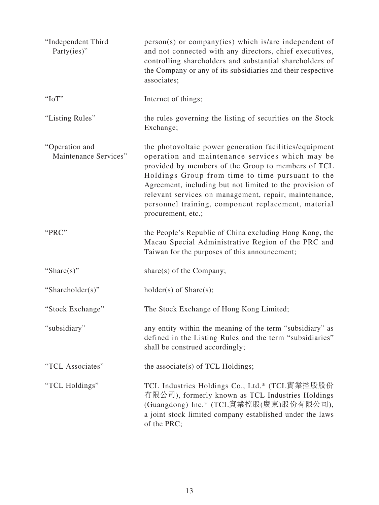| "Independent Third<br>Party(ies)"       | person(s) or company(ies) which is/are independent of<br>and not connected with any directors, chief executives,<br>controlling shareholders and substantial shareholders of<br>the Company or any of its subsidiaries and their respective<br>associates;                                                                                                                                                            |
|-----------------------------------------|-----------------------------------------------------------------------------------------------------------------------------------------------------------------------------------------------------------------------------------------------------------------------------------------------------------------------------------------------------------------------------------------------------------------------|
| "IoT"                                   | Internet of things;                                                                                                                                                                                                                                                                                                                                                                                                   |
| "Listing Rules"                         | the rules governing the listing of securities on the Stock<br>Exchange;                                                                                                                                                                                                                                                                                                                                               |
| "Operation and<br>Maintenance Services" | the photovoltaic power generation facilities/equipment<br>operation and maintenance services which may be<br>provided by members of the Group to members of TCL<br>Holdings Group from time to time pursuant to the<br>Agreement, including but not limited to the provision of<br>relevant services on management, repair, maintenance,<br>personnel training, component replacement, material<br>procurement, etc.; |
| "PRC"                                   | the People's Republic of China excluding Hong Kong, the<br>Macau Special Administrative Region of the PRC and<br>Taiwan for the purposes of this announcement;                                                                                                                                                                                                                                                        |
| "Share $(s)$ "                          | share(s) of the Company;                                                                                                                                                                                                                                                                                                                                                                                              |
| "Shareholder(s)"                        | $holder(s)$ of Share $(s)$ ;                                                                                                                                                                                                                                                                                                                                                                                          |
| "Stock Exchange"                        | The Stock Exchange of Hong Kong Limited;                                                                                                                                                                                                                                                                                                                                                                              |
| "subsidiary"                            | any entity within the meaning of the term "subsidiary" as<br>defined in the Listing Rules and the term "subsidiaries"<br>shall be construed accordingly;                                                                                                                                                                                                                                                              |
| "TCL Associates"                        | the associate(s) of TCL Holdings;                                                                                                                                                                                                                                                                                                                                                                                     |
| "TCL Holdings"                          | TCL Industries Holdings Co., Ltd.* (TCL實業控股股份<br>有限公司), formerly known as TCL Industries Holdings<br>(Guangdong) Inc.* (TCL實業控股(廣東)股份有限公司),<br>a joint stock limited company established under the laws<br>of the PRC;                                                                                                                                                                                                |